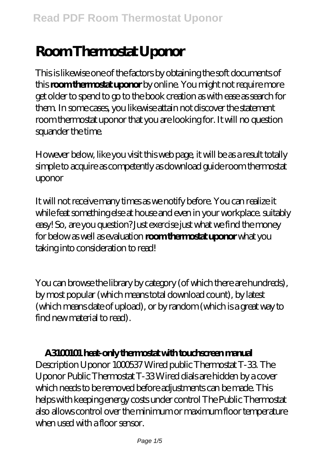# **Room Thermostat Uponor**

This is likewise one of the factors by obtaining the soft documents of this **room thermostat uponor** by online. You might not require more get older to spend to go to the book creation as with ease as search for them. In some cases, you likewise attain not discover the statement room thermostat uponor that you are looking for. It will no question squander the time.

However below, like you visit this web page, it will be as a result totally simple to acquire as competently as download guide room thermostat uponor

It will not receive many times as we notify before. You can realize it while feat something else at house and even in your workplace. suitably easy! So, are you question? Just exercise just what we find the money for below as well as evaluation **room thermostat uponor** what you taking into consideration to read!

You can browse the library by category (of which there are hundreds), by most popular (which means total download count), by latest (which means date of upload), or by random (which is a great way to find new material to read).

#### **A3100101 heat-only thermostat with touchscreen manual**

Description Uponor 1000537 Wired public Thermostat T-33. The Uponor Public Thermostat T-33 Wired dials are hidden by a cover which needs to be removed before adjustments can be made. This helps with keeping energy costs under control The Public Thermostat also allows control over the minimum or maximum floor temperature when used with a floor sensor.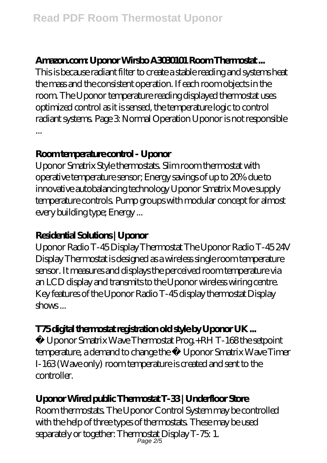## **Amazon.com: Uponor Wirsbo A3030101 Room Thermostat ...**

This is because radiant filter to create a stable reading and systems heat the mass and the consistent operation. If each room objects in the room. The Uponor temperature reading displayed thermostat uses optimized control as it is sensed, the temperature logic to control radiant systems. Page 3: Normal Operation Uponor is not responsible ...

#### **Room temperature control - Uponor**

Uponor Smatrix Style thermostats. Slim room thermostat with operative temperature sensor; Energy savings of up to 20% due to innovative autobalancing technology Uponor Smatrix Move supply temperature controls. Pump groups with modular concept for almost every building type; Energy ...

## **Residential Solutions | Uponor**

Uponor Radio T-45 Display Thermostat The Uponor Radio T-45 24V Display Thermostat is designed as a wireless single room temperature sensor. It measures and displays the perceived room temperature via an LCD display and transmits to the Uponor wireless wiring centre. Key features of the Uponor Radio T-45 display thermostat Display shows ...

## **T75 digital thermostat registration old style by Uponor UK ...**

• Uponor Smatrix Wave Thermostat Prog + RH T-168 the setpoint temperature, a demand to change the • Uponor Smatrix Wave Timer I-163 (Wave only) room temperature is created and sent to the controller.

# **Uponor Wired public Thermostat T-33 | Underfloor Store**

Room thermostats. The Uponor Control System may be controlled with the help of three types of thermostats. These may be used separately or together: Thermostat Display T-75: 1. Page 2/5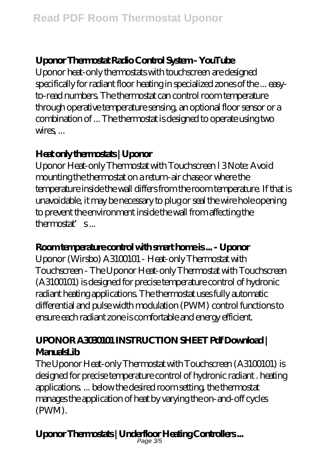## **Uponor Thermostat Radio Control System - YouTube**

Uponor heat-only thermostats with touchscreen are designed specifically for radiant floor heating in specialized zones of the ... easyto-read numbers. The thermostat can control room temperature through operative temperature sensing, an optional floor sensor or a combination of ... The thermostat is designed to operate using two wires...

## **Heat only thermostats | Uponor**

Uponor Heat-only Thermostat with Touchscreen l 3 Note: Avoid mounting the thermostat on a return-air chase or where the temperature inside the wall differs from the room temperature. If that is unavoidable, it may be necessary to plug or seal the wire hole opening to prevent the environment inside the wall from affecting the thermostat's...

## **Room temperature control with smart home is ... - Uponor**

Uponor (Wirsbo) A3100101 - Heat-only Thermostat with Touchscreen - The Uponor Heat-only Thermostat with Touchscreen (A3100101) is designed for precise temperature control of hydronic radiant heating applications. The thermostat uses fully automatic differential and pulse width modulation (PWM) control functions to ensure each radiant zone is comfortable and energy efficient.

#### **UPONOR A3030101 INSTRUCTION SHEET Pdf Download | ManualsLib**

The Uponor Heat-only Thermostat with Touchscreen (A3100101) is designed for precise temperature control of hydronic radiant . heating applications. ... below the desired room setting, the thermostat manages the application of heat by varying the on-and-off cycles (PWM).

# **Uponor Thermostats | Underfloor Heating Controllers ...** Page 3/5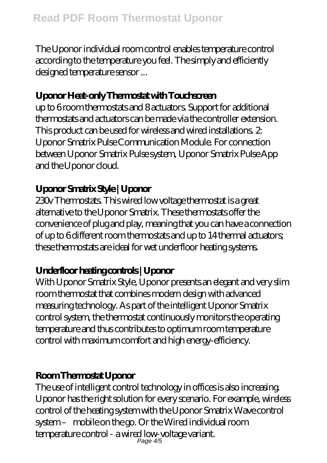The Uponor individual room control enables temperature control according to the temperature you feel. The simply and efficiently designed temperature sensor ...

## **Uponor Heat-only Thermostat with Touchscreen**

up to 6 room thermostats and 8 actuators. Support for additional thermostats and actuators can be made via the controller extension. This product can be used for wireless and wired installations. 2: Uponor Smatrix Pulse Communication Module. For connection between Uponor Smatrix Pulse system, Uponor Smatrix Pulse App and the Uponor cloud.

# **Uponor Smatrix Style | Uponor**

230v Thermostats. This wired low voltage thermostat is a great alternative to the Uponor Smatrix. These thermostats offer the convenience of plug and play, meaning that you can have a connection of up to 6 different room thermostats and up to 14 thermal actuators; these thermostats are ideal for wet underfloor heating systems.

# **Underfloor heating controls | Uponor**

With Uponor Smatrix Style, Uponor presents an elegant and very slim room thermostat that combines modern design with advanced measuring technology. As part of the intelligent Uponor Smatrix control system, the thermostat continuously monitors the operating temperature and thus contributes to optimum room temperature control with maximum comfort and high energy-efficiency.

# **Room Thermostat Uponor**

The use of intelligent control technology in offices is also increasing. Uponor has the right solution for every scenario. For example, wireless control of the heating system with the Uponor Smatrix Wave control system – mobile on the go. Or the Wired individual room temperature control - a wired low-voltage variant. Page 4/5